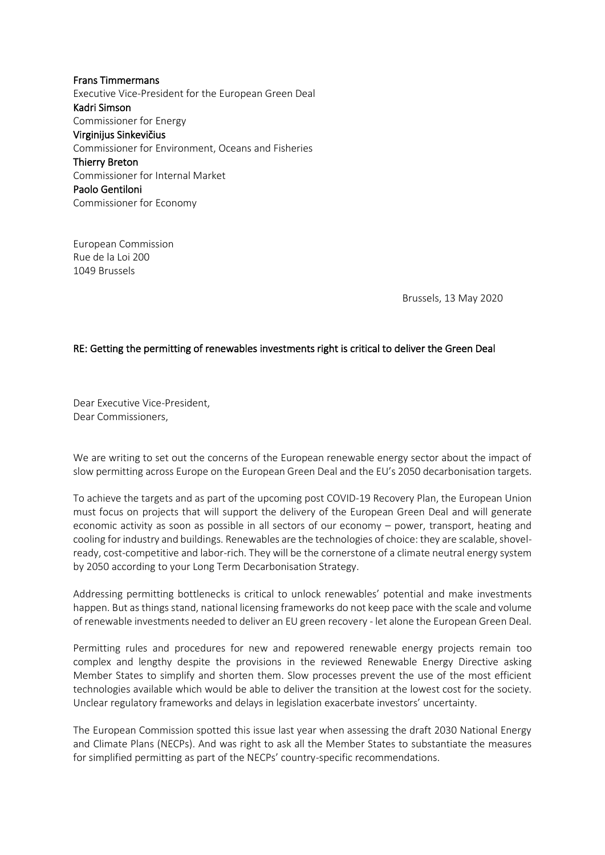Frans Timmermans Executive Vice-President for the European Green Deal Kadri Simson Commissioner for Energy Virginijus Sinkevičius Commissioner for Environment, Oceans and Fisheries Thierry Breton Commissioner for Internal Market Paolo Gentiloni Commissioner for Economy

European Commission Rue de la Loi 200 1049 Brussels

Brussels, 13 May 2020

## RE: Getting the permitting of renewables investments right is critical to deliver the Green Deal

Dear Executive Vice-President, Dear Commissioners,

We are writing to set out the concerns of the European renewable energy sector about the impact of slow permitting across Europe on the European Green Deal and the EU's 2050 decarbonisation targets.

To achieve the targets and as part of the upcoming post COVID-19 Recovery Plan, the European Union must focus on projects that will support the delivery of the European Green Deal and will generate economic activity as soon as possible in all sectors of our economy – power, transport, heating and cooling for industry and buildings. Renewables are the technologies of choice: they are scalable, shovelready, cost-competitive and labor-rich. They will be the cornerstone of a climate neutral energy system by 2050 according to your Long Term Decarbonisation Strategy.

Addressing permitting bottlenecks is critical to unlock renewables' potential and make investments happen. But as things stand, national licensing frameworks do not keep pace with the scale and volume of renewable investments needed to deliver an EU green recovery - let alone the European Green Deal.

Permitting rules and procedures for new and repowered renewable energy projects remain too complex and lengthy despite the provisions in the reviewed Renewable Energy Directive asking Member States to simplify and shorten them. Slow processes prevent the use of the most efficient technologies available which would be able to deliver the transition at the lowest cost for the society. Unclear regulatory frameworks and delays in legislation exacerbate investors' uncertainty.

The European Commission spotted this issue last year when assessing the draft 2030 National Energy and Climate Plans (NECPs). And was right to ask all the Member States to substantiate the measures for simplified permitting as part of the NECPs' country-specific recommendations.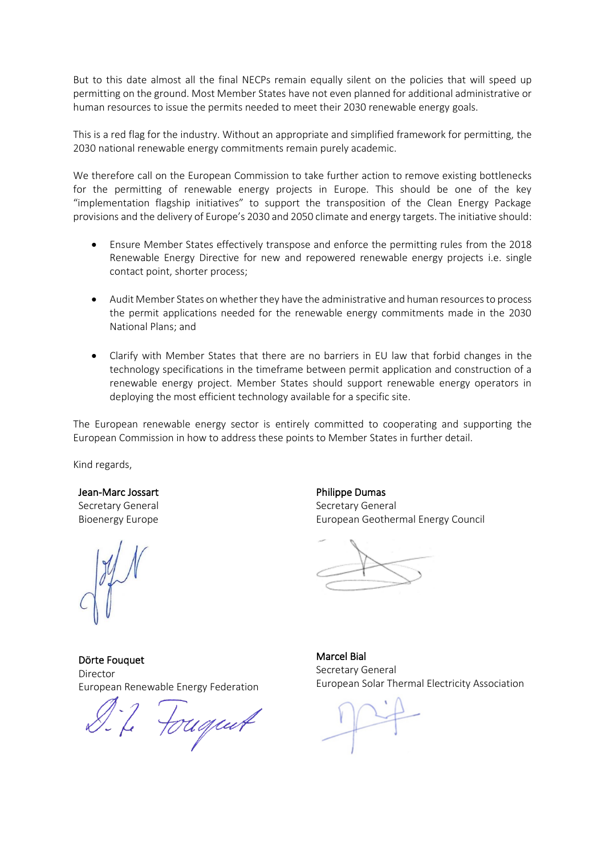But to this date almost all the final NECPs remain equally silent on the policies that will speed up permitting on the ground. Most Member States have not even planned for additional administrative or human resources to issue the permits needed to meet their 2030 renewable energy goals.

This is a red flag for the industry. Without an appropriate and simplified framework for permitting, the 2030 national renewable energy commitments remain purely academic.

We therefore call on the European Commission to take further action to remove existing bottlenecks for the permitting of renewable energy projects in Europe. This should be one of the key "implementation flagship initiatives" to support the transposition of the Clean Energy Package provisions and the delivery of Europe's 2030 and 2050 climate and energy targets. The initiative should:

- Ensure Member States effectively transpose and enforce the permitting rules from the 2018 Renewable Energy Directive for new and repowered renewable energy projects i.e. single contact point, shorter process;
- Audit Member States on whether they have the administrative and human resources to process the permit applications needed for the renewable energy commitments made in the 2030 National Plans; and
- Clarify with Member States that there are no barriers in EU law that forbid changes in the technology specifications in the timeframe between permit application and construction of a renewable energy project. Member States should support renewable energy operators in deploying the most efficient technology available for a specific site.

The European renewable energy sector is entirely committed to cooperating and supporting the European Commission in how to address these points to Member States in further detail.

Kind regards,

Jean-Marc Jossart Secretary General Bioenergy Europe

Dörte Fouquet Director European Renewable Energy Federation

7. Fougent

Philippe Dumas Secretary General European Geothermal Energy Council

Marcel Bial Secretary General European Solar Thermal Electricity Association